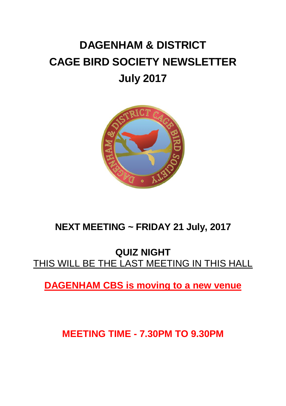# **DAGENHAM & DISTRICT CAGE BIRD SOCIETY NEWSLETTER July 2017**



# **NEXT MEETING ~ FRIDAY 21 July, 2017**

### **QUIZ NIGHT** THIS WILL BE THE LAST MEETING IN THIS HALL

**DAGENHAM CBS is moving to a new venue**

**MEETING TIME - 7.30PM TO 9.30PM**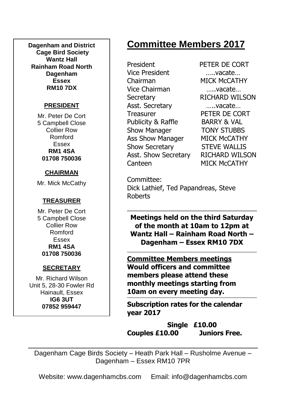**Dagenham and District Cage Bird Society Wantz Hall Rainham Road North Dagenham Essex RM10 7DX**

#### **PRESIDENT**

Mr. Peter De Cort 5 Campbell Close Collier Row Romford Essex **RM1 4SA 01708 750036**

#### **CHAIRMAN**

Mr. Mick McCathy

#### **TREASURER**

Mr. Peter De Cort 5 Campbell Close Collier Row Romford Essex **RM1 4SA 01708 750036**

#### **SECRETARY**

Mr. Richard Wilson Unit 5, 28-30 Fowler Rd Hainault, Essex **IG6 3UT 07852 959447**

# **Committee Members 2017**

President PETER DE CORT Vice President …..vacate… Chairman MICK McCATHY Vice Chairman …..vacate… Secretary RICHARD WILSON Asst. Secretary …..vacate… Treasurer PETER DE CORT Publicity & Raffle BARRY & VAL Show Manager **TONY STUBBS** Ass Show Manager MICK McCATHY Show Secretary STEVE WALLIS Asst. Show Secretary RICHARD WILSON Canteen MICK McCATHY

Committee: Dick Lathief, Ted Papandreas, Steve Roberts

**Meetings held on the third Saturday of the month at 10am to 12pm at Wantz Hall – Rainham Road North – Dagenham – Essex RM10 7DX**

**Committee Members meetings Would officers and committee members please attend these monthly meetings starting from 10am on every meeting day.**

**Subscription rates for the calendar year 2017**

**Single £10.00 Couples £10.00 Juniors Free.**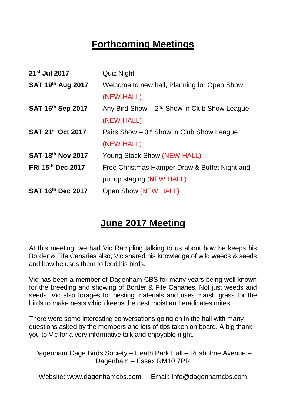# **Forthcoming Meetings**

| 21 <sup>st</sup> Jul 2017     | Quiz Night                                       |
|-------------------------------|--------------------------------------------------|
| SAT 19th Aug 2017             | Welcome to new hall, Planning for Open Show      |
|                               | (NEW HALL)                                       |
| SAT 16th Sep 2017             | Any Bird Show $-2^{nd}$ Show in Club Show League |
|                               | (NEW HALL)                                       |
| SAT 21 <sup>st</sup> Oct 2017 | Pairs Show - 3rd Show in Club Show League        |
|                               | (NEW HALL)                                       |
| SAT 18th Nov 2017             | Young Stock Show (NEW HALL)                      |
| FRI 15th Dec 2017             | Free Christmas Hamper Draw & Buffet Night and    |
|                               | put up staging (NEW HALL)                        |
| SAT 16th Dec 2017             | Open Show (NEW HALL)                             |

# **June 2017 Meeting**

At this meeting, we had Vic Rampling talking to us about how he keeps his Border & Fife Canaries also, Vic shared his knowledge of wild weeds & seeds and how he uses them to feed his birds.

Vic has been a member of Dagenham CBS for many years being well known for the breeding and showing of Border & Fife Canaries. Not just weeds and seeds, Vic also forages for nesting materials and uses marsh grass for the birds to make nests which keeps the nest moist and eradicates mites.

There were some interesting conversations going on in the hall with many questions asked by the members and lots of tips taken on board. A big thank you to Vic for a very informative talk and enjoyable night.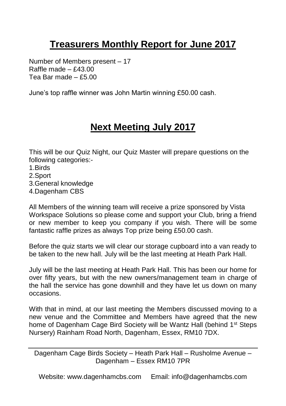# **Treasurers Monthly Report for June 2017**

Number of Members present – 17 Raffle made  $- f43.00$ Tea Bar made – £5.00

June's top raffle winner was John Martin winning £50.00 cash.

## **Next Meeting July 2017**

This will be our Quiz Night, our Quiz Master will prepare questions on the following categories:-

- 1.Birds
- 2.Sport
- 3.General knowledge
- 4.Dagenham CBS

All Members of the winning team will receive a prize sponsored by Vista Workspace Solutions so please come and support your Club, bring a friend or new member to keep you company if you wish. There will be some fantastic raffle prizes as always Top prize being £50.00 cash.

Before the quiz starts we will clear our storage cupboard into a van ready to be taken to the new hall. July will be the last meeting at Heath Park Hall.

July will be the last meeting at Heath Park Hall. This has been our home for over fifty years, but with the new owners/management team in charge of the hall the service has gone downhill and they have let us down on many occasions.

With that in mind, at our last meeting the Members discussed moving to a new venue and the Committee and Members have agreed that the new home of Dagenham Cage Bird Society will be Wantz Hall (behind 1<sup>st</sup> Steps Nursery) Rainham Road North, Dagenham, Essex, RM10 7DX.

Dagenham Cage Birds Society – Heath Park Hall – Rusholme Avenue – Dagenham – Essex RM10 7PR

Website: www.dagenhamcbs.com Email: info@dagenhamcbs.com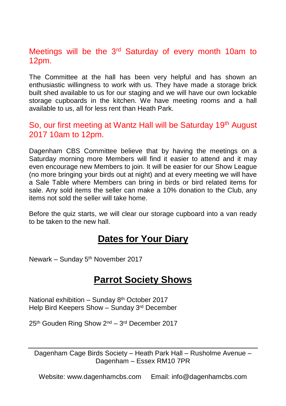### Meetings will be the 3<sup>rd</sup> Saturday of every month 10am to 12pm.

The Committee at the hall has been very helpful and has shown an enthusiastic willingness to work with us. They have made a storage brick built shed available to us for our staging and we will have our own lockable storage cupboards in the kitchen. We have meeting rooms and a hall available to us, all for less rent than Heath Park.

### So, our first meeting at Wantz Hall will be Saturday 19<sup>th</sup> August 2017 10am to 12pm.

Dagenham CBS Committee believe that by having the meetings on a Saturday morning more Members will find it easier to attend and it may even encourage new Members to join. It will be easier for our Show League (no more bringing your birds out at night) and at every meeting we will have a Sale Table where Members can bring in birds or bird related items for sale. Any sold items the seller can make a 10% donation to the Club, any items not sold the seller will take home.

Before the quiz starts, we will clear our storage cupboard into a van ready to be taken to the new hall.

### **Dates for Your Diary**

Newark – Sunday 5th November 2017

### **Parrot Society Shows**

National exhibition – Sunday 8th October 2017 Help Bird Keepers Show – Sunday 3rd December

25<sup>th</sup> Gouden Ring Show 2<sup>nd</sup> – 3<sup>rd</sup> December 2017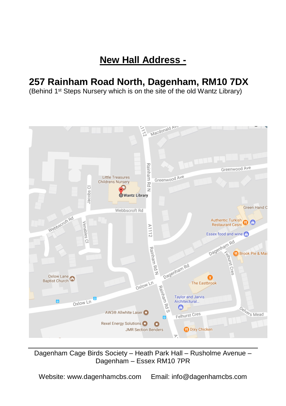# **New Hall Address -**

# **257 Rainham Road North, Dagenham, RM10 7DX**

(Behind 1st Steps Nursery which is on the site of the old Wantz Library)



Dagenham Cage Birds Society – Heath Park Hall – Rusholme Avenue – Dagenham – Essex RM10 7PR

Website: www.dagenhamcbs.com Email: info@dagenhamcbs.com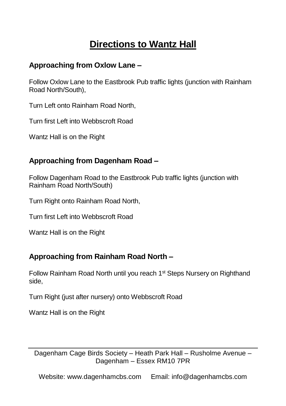# **Directions to Wantz Hall**

### **Approaching from Oxlow Lane –**

Follow Oxlow Lane to the Eastbrook Pub traffic lights (junction with Rainham Road North/South),

Turn Left onto Rainham Road North,

Turn first Left into Webbscroft Road

Wantz Hall is on the Right

### **Approaching from Dagenham Road –**

Follow Dagenham Road to the Eastbrook Pub traffic lights (junction with Rainham Road North/South)

Turn Right onto Rainham Road North,

Turn first Left into Webbscroft Road

Wantz Hall is on the Right

#### **Approaching from Rainham Road North –**

Follow Rainham Road North until you reach 1<sup>st</sup> Steps Nursery on Righthand side,

Turn Right (just after nursery) onto Webbscroft Road

Wantz Hall is on the Right